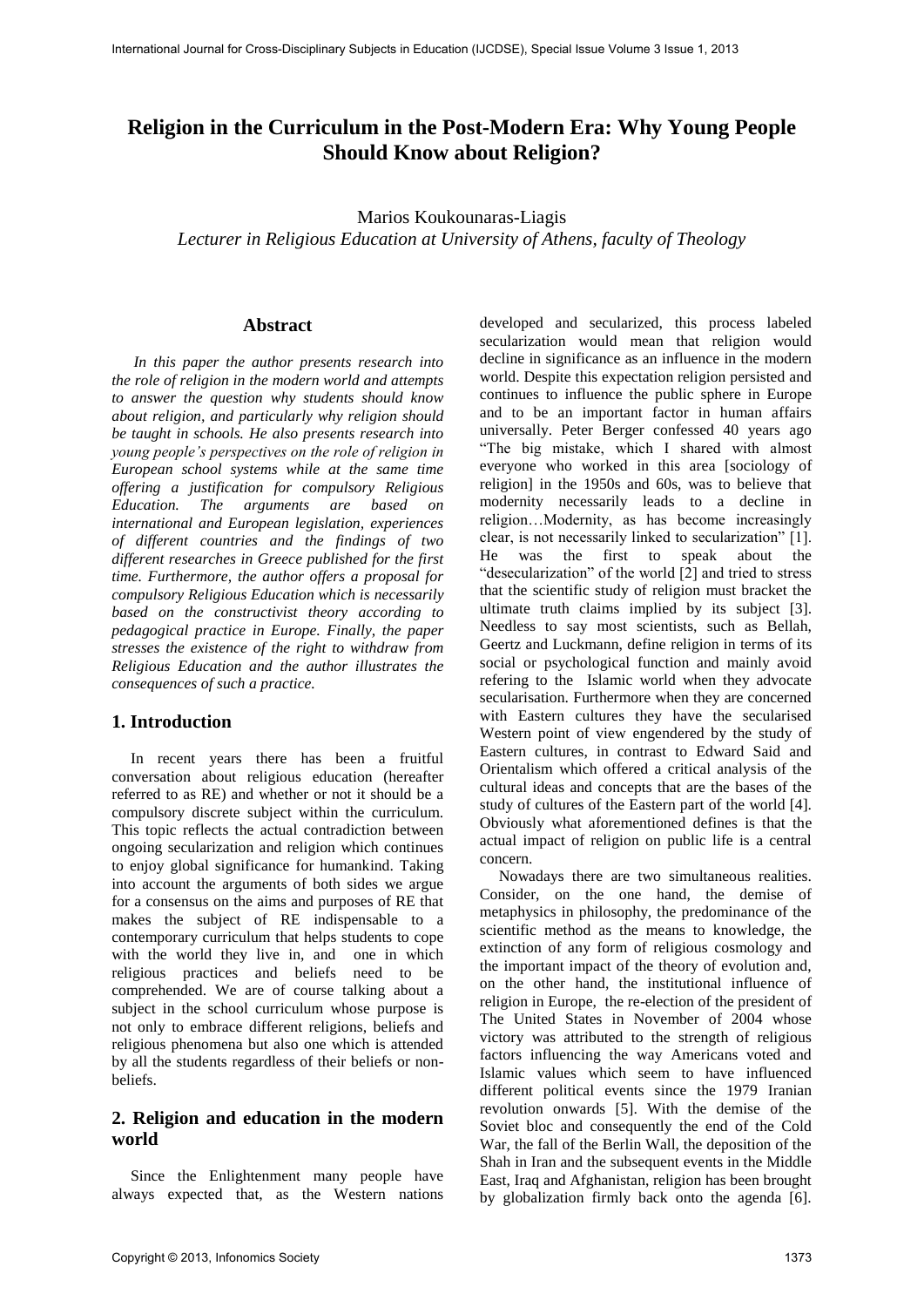# **Religion in the Curriculum in the Post-Modern Era: Why Young People Should Know about Religion?**

Marios Koukounaras-Liagis *Lecturer in Religious Education at University of Athens, faculty of Theology* 

#### **Abstract**

*In this paper the author presents research into the role of religion in the modern world and attempts to answer the question why students should know about religion, and particularly why religion should be taught in schools. He also presents research into young people's perspectives on the role of religion in European school systems while at the same time offering a justification for compulsory Religious Education. The arguments are based on international and European legislation, experiences of different countries and the findings of two different researches in Greece published for the first time. Furthermore, the author offers a proposal for compulsory Religious Education which is necessarily based on the constructivist theory according to pedagogical practice in Europe. Finally, the paper stresses the existence of the right to withdraw from Religious Education and the author illustrates the consequences of such a practice.* 

## **1. Introduction**

In recent years there has been a fruitful conversation about religious education (hereafter referred to as RE) and whether or not it should be a compulsory discrete subject within the curriculum. This topic reflects the actual contradiction between ongoing secularization and religion which continues to enjoy global significance for humankind. Taking into account the arguments of both sides we argue for a consensus on the aims and purposes of RE that makes the subject of RE indispensable to a contemporary curriculum that helps students to cope with the world they live in, and one in which religious practices and beliefs need to be comprehended. We are of course talking about a subject in the school curriculum whose purpose is not only to embrace different religions, beliefs and religious phenomena but also one which is attended by all the students regardless of their beliefs or nonbeliefs.

# **2. Religion and education in the modern world**

Since the Enlightenment many people have always expected that, as the Western nations

developed and secularized, this process labeled secularization would mean that religion would decline in significance as an influence in the modern world. Despite this expectation religion persisted and continues to influence the public sphere in Europe and to be an important factor in human affairs universally. Peter Berger confessed 40 years ago "The big mistake, which I shared with almost everyone who worked in this area [sociology of religion] in the 1950s and 60s, was to believe that modernity necessarily leads to a decline in religion…Modernity, as has become increasingly clear, is not necessarily linked to secularization" [1]. He was the first to speak about the "desecularization" of the world [2] and tried to stress that the scientific study of religion must bracket the ultimate truth claims implied by its subject [3]. Needless to say most scientists, such as Bellah, Geertz and Luckmann, define religion in terms of its social or psychological function and mainly avoid refering to the Islamic world when they advocate secularisation. Furthermore when they are concerned with Eastern cultures they have the secularised Western point of view engendered by the study of Eastern cultures, in contrast to Edward Said and Orientalism which offered a critical analysis of the cultural ideas and concepts that are the bases of the study of cultures of the Eastern part of the world [4]. Obviously what aforementioned defines is that the actual impact of religion on public life is a central concern.

Nowadays there are two simultaneous realities. Consider, on the one hand, the demise of metaphysics in philosophy, the predominance of the scientific method as the means to knowledge, the extinction of any form of religious cosmology and the important impact of the theory of evolution and, on the other hand, the institutional influence of religion in Europe, the re-election of the president of The United States in November of 2004 whose victory was attributed to the strength of religious factors influencing the way Americans voted and Islamic values which seem to have influenced different political events since the 1979 Iranian revolution onwards [5]. With the demise of the Soviet bloc and consequently the end of the Cold War, the fall of the Berlin Wall, the deposition of the Shah in Iran and the subsequent events in the Middle East, Iraq and Afghanistan, religion has been brought by globalization firmly back onto the agenda [6].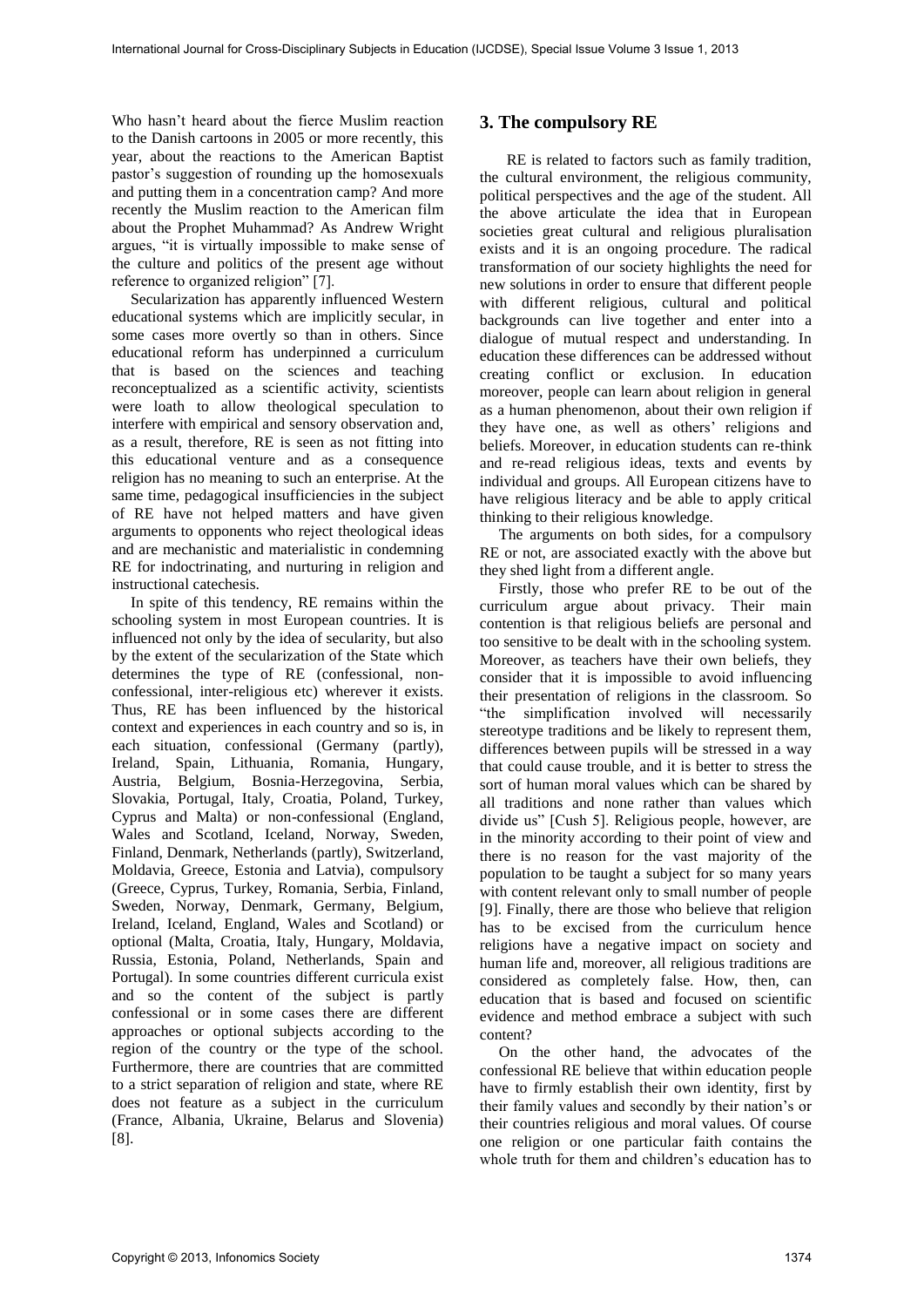Who hasn't heard about the fierce Muslim reaction to the Danish cartoons in 2005 or more recently, this year, about the reactions to the American Baptist pastor's suggestion of rounding up the homosexuals and putting them in a concentration camp? And more recently the Muslim reaction to the American film about the Prophet Muhammad? As Andrew Wright argues, "it is virtually impossible to make sense of the culture and politics of the present age without reference to organized religion" [7].

Secularization has apparently influenced Western educational systems which are implicitly secular, in some cases more overtly so than in others. Since educational reform has underpinned a curriculum that is based on the sciences and teaching reconceptualized as a scientific activity, scientists were loath to allow theological speculation to interfere with empirical and sensory observation and, as a result, therefore, RE is seen as not fitting into this educational venture and as a consequence religion has no meaning to such an enterprise. At the same time, pedagogical insufficiencies in the subject of RE have not helped matters and have given arguments to opponents who reject theological ideas and are mechanistic and materialistic in condemning RE for indoctrinating, and nurturing in religion and instructional catechesis.

In spite of this tendency, RE remains within the schooling system in most European countries. It is influenced not only by the idea of secularity, but also by the extent of the secularization of the State which determines the type of RE (confessional, nonconfessional, inter-religious etc) wherever it exists. Thus, RE has been influenced by the historical context and experiences in each country and so is, in each situation, confessional (Germany (partly), Ireland, Spain, Lithuania, Romania, Hungary, Austria, Belgium, Bosnia-Herzegovina, Serbia, Slovakia, Portugal, Italy, Croatia, Poland, Turkey, Cyprus and Malta) or non-confessional (England, Wales and Scotland, Iceland, Norway, Sweden, Finland, Denmark, Netherlands (partly), Switzerland, Moldavia, Greece, Estonia and Latvia), compulsory (Greece, Cyprus, Turkey, Romania, Serbia, Finland, Sweden, Norway, Denmark, Germany, Belgium, Ireland, Iceland, England, Wales and Scotland) or optional (Malta, Croatia, Italy, Hungary, Moldavia, Russia, Estonia, Poland, Netherlands, Spain and Portugal). In some countries different curricula exist and so the content of the subject is partly confessional or in some cases there are different approaches or optional subjects according to the region of the country or the type of the school. Furthermore, there are countries that are committed to a strict separation of religion and state, where RE does not feature as a subject in the curriculum (France, Albania, Ukraine, Belarus and Slovenia) [8].

# **3. The compulsory RE**

 RE is related to factors such as family tradition, the cultural environment, the religious community, political perspectives and the age of the student. All the above articulate the idea that in European societies great cultural and religious pluralisation exists and it is an ongoing procedure. The radical transformation of our society highlights the need for new solutions in order to ensure that different people with different religious, cultural and political backgrounds can live together and enter into a dialogue of mutual respect and understanding. In education these differences can be addressed without creating conflict or exclusion. In education moreover, people can learn about religion in general as a human phenomenon, about their own religion if they have one, as well as others' religions and beliefs. Moreover, in education students can re-think and re-read religious ideas, texts and events by individual and groups. All European citizens have to have religious literacy and be able to apply critical thinking to their religious knowledge.

The arguments on both sides, for a compulsory RE or not, are associated exactly with the above but they shed light from a different angle.

Firstly, those who prefer RE to be out of the curriculum argue about privacy. Their main contention is that religious beliefs are personal and too sensitive to be dealt with in the schooling system. Moreover, as teachers have their own beliefs, they consider that it is impossible to avoid influencing their presentation of religions in the classroom. So "the simplification involved will necessarily stereotype traditions and be likely to represent them, differences between pupils will be stressed in a way that could cause trouble, and it is better to stress the sort of human moral values which can be shared by all traditions and none rather than values which divide us" [Cush 5]. Religious people, however, are in the minority according to their point of view and there is no reason for the vast majority of the population to be taught a subject for so many years with content relevant only to small number of people [9]. Finally, there are those who believe that religion has to be excised from the curriculum hence religions have a negative impact on society and human life and, moreover, all religious traditions are considered as completely false. How, then, can education that is based and focused on scientific evidence and method embrace a subject with such content?

On the other hand, the advocates of the confessional RE believe that within education people have to firmly establish their own identity, first by their family values and secondly by their nation's or their countries religious and moral values. Of course one religion or one particular faith contains the whole truth for them and children's education has to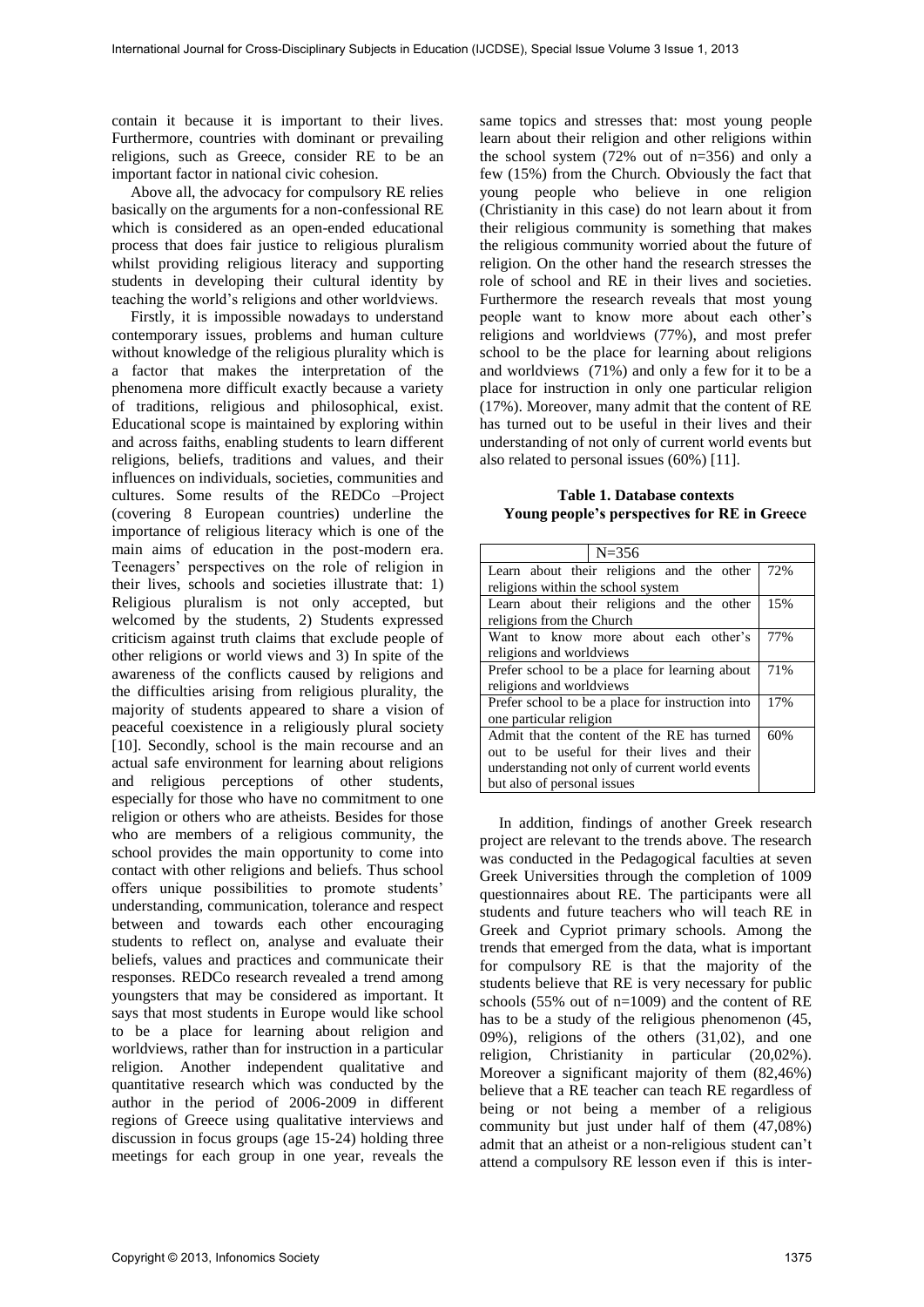contain it because it is important to their lives. Furthermore, countries with dominant or prevailing religions, such as Greece, consider RE to be an important factor in national civic cohesion.

Above all, the advocacy for compulsory RE relies basically on the arguments for a non-confessional RE which is considered as an open-ended educational process that does fair justice to religious pluralism whilst providing religious literacy and supporting students in developing their cultural identity by teaching the world's religions and other worldviews.

Firstly, it is impossible nowadays to understand contemporary issues, problems and human culture without knowledge of the religious plurality which is a factor that makes the interpretation of the phenomena more difficult exactly because a variety of traditions, religious and philosophical, exist. Educational scope is maintained by exploring within and across faiths, enabling students to learn different religions, beliefs, traditions and values, and their influences on individuals, societies, communities and cultures. Some results of the REDCo –Project (covering 8 European countries) underline the importance of religious literacy which is one of the main aims of education in the post-modern era. Teenagers' perspectives on the role of religion in their lives, schools and societies illustrate that: 1) Religious pluralism is not only accepted, but welcomed by the students, 2) Students expressed criticism against truth claims that exclude people of other religions or world views and 3) In spite of the awareness of the conflicts caused by religions and the difficulties arising from religious plurality, the majority of students appeared to share a vision of peaceful coexistence in a religiously plural society [10]. Secondly, school is the main recourse and an actual safe environment for learning about religions and religious perceptions of other students, especially for those who have no commitment to one religion or others who are atheists. Besides for those who are members of a religious community, the school provides the main opportunity to come into contact with other religions and beliefs. Thus school offers unique possibilities to promote students' understanding, communication, tolerance and respect between and towards each other encouraging students to reflect on, analyse and evaluate their beliefs, values and practices and communicate their responses. REDCo research revealed a trend among youngsters that may be considered as important. It says that most students in Europe would like school to be a place for learning about religion and worldviews, rather than for instruction in a particular religion. Another independent qualitative and quantitative research which was conducted by the author in the period of 2006-2009 in different regions of Greece using qualitative interviews and discussion in focus groups (age 15-24) holding three meetings for each group in one year, reveals the

same topics and stresses that: most young people learn about their religion and other religions within the school system (72% out of n=356) and only a few (15%) from the Church. Obviously the fact that young people who believe in one religion (Christianity in this case) do not learn about it from their religious community is something that makes the religious community worried about the future of religion. On the other hand the research stresses the role of school and RE in their lives and societies. Furthermore the research reveals that most young people want to know more about each other's religions and worldviews (77%), and most prefer school to be the place for learning about religions and worldviews (71%) and only a few for it to be a place for instruction in only one particular religion (17%). Moreover, many admit that the content of RE has turned out to be useful in their lives and their understanding of not only of current world events but also related to personal issues (60%) [11].

**Table 1. Database contexts Young people's perspectives for RE in Greece**

| $N = 356$                                                                                                                                                                  |     |
|----------------------------------------------------------------------------------------------------------------------------------------------------------------------------|-----|
| Learn about their religions and the other<br>religions within the school system                                                                                            | 72% |
|                                                                                                                                                                            |     |
| Learn about their religions and the other<br>religions from the Church                                                                                                     | 15% |
| Want to know more about each other's<br>religions and worldviews                                                                                                           | 77% |
| Prefer school to be a place for learning about<br>religions and worldviews                                                                                                 | 71% |
| Prefer school to be a place for instruction into<br>one particular religion                                                                                                | 17% |
| Admit that the content of the RE has turned<br>out to be useful for their lives and their<br>understanding not only of current world events<br>but also of personal issues | 60% |

In addition, findings of another Greek research project are relevant to the trends above. The research was conducted in the Pedagogical faculties at seven Greek Universities through the completion of 1009 questionnaires about RE. The participants were all students and future teachers who will teach RE in Greek and Cypriot primary schools. Among the trends that emerged from the data, what is important for compulsory RE is that the majority of the students believe that RE is very necessary for public schools (55% out of n=1009) and the content of RE has to be a study of the religious phenomenon (45, 09%), religions of the others (31,02), and one religion, Christianity in particular (20,02%). Moreover a significant majority of them (82,46%) believe that a RE teacher can teach RE regardless of being or not being a member of a religious community but just under half of them (47,08%) admit that an atheist or a non-religious student can't attend a compulsory RE lesson even if this is inter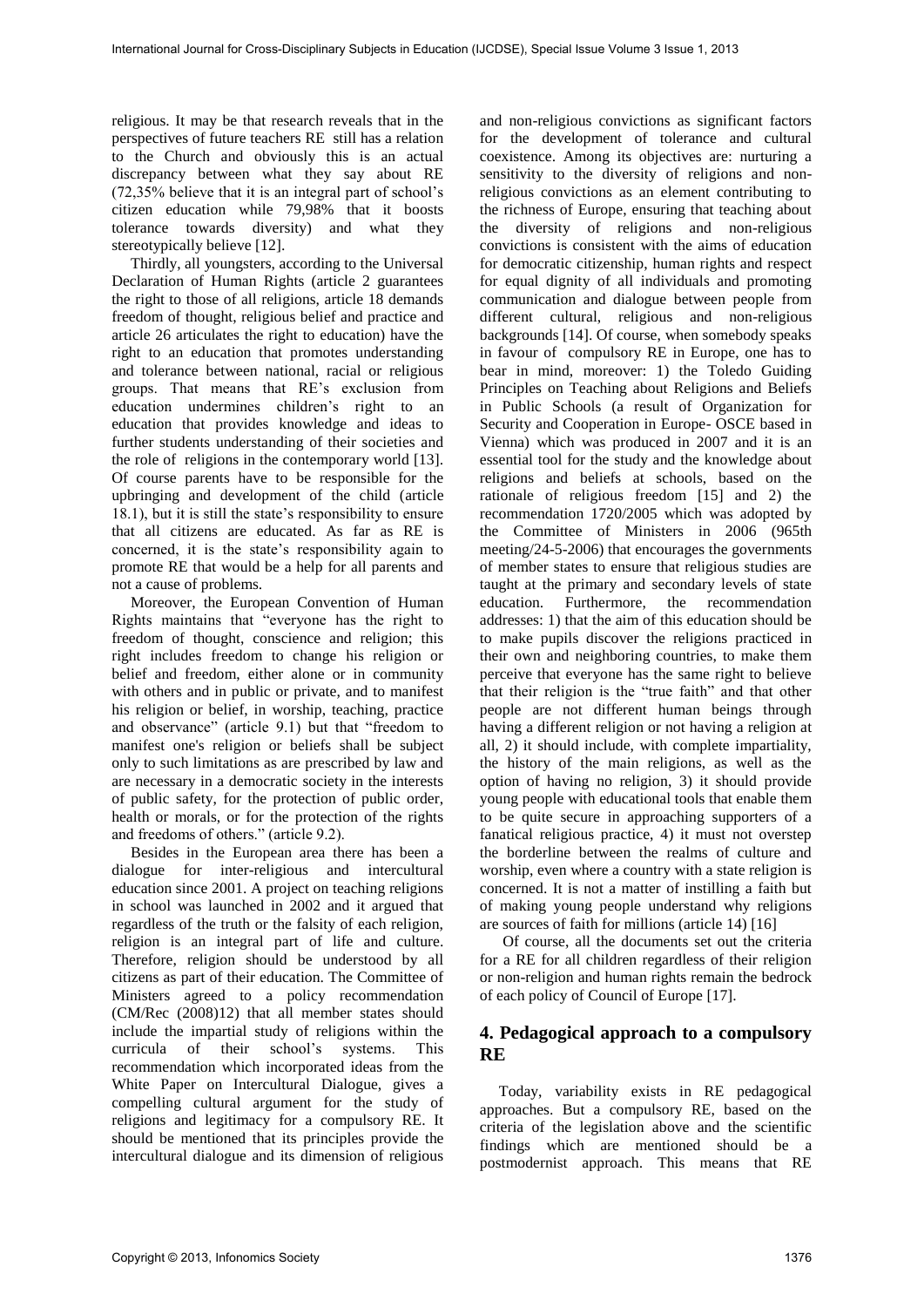religious. It may be that research reveals that in the perspectives of future teachers RE still has a relation to the Church and obviously this is an actual discrepancy between what they say about RE (72,35% believe that it is an integral part of school's citizen education while 79,98% that it boosts tolerance towards diversity) and what they stereotypically believe [12].

Thirdly, all youngsters, according to the Universal Declaration of Human Rights (article 2 guarantees the right to those of all religions, article 18 demands freedom of thought, religious belief and practice and article 26 articulates the right to education) have the right to an education that promotes understanding and tolerance between national, racial or religious groups. That means that RE's exclusion from education undermines children's right to an education that provides knowledge and ideas to further students understanding of their societies and the role of religions in the contemporary world [13]. Of course parents have to be responsible for the upbringing and development of the child (article 18.1), but it is still the state's responsibility to ensure that all citizens are educated. As far as RE is concerned, it is the state's responsibility again to promote RE that would be a help for all parents and not a cause of problems.

Moreover, the European Convention of Human Rights maintains that "everyone has the right to freedom of thought, conscience and religion; this right includes freedom to change his religion or belief and freedom, either alone or in community with others and in public or private, and to manifest his religion or belief, in worship, teaching, practice and observance" (article 9.1) but that "freedom to manifest one's religion or beliefs shall be subject only to such limitations as are prescribed by law and are necessary in a democratic society in the interests of public safety, for the protection of public order, health or morals, or for the protection of the rights and freedoms of others." (article 9.2).

Besides in the European area there has been a dialogue for inter-religious and intercultural education since 2001. A project on teaching religions in school was launched in 2002 and it argued that regardless of the truth or the falsity of each religion, religion is an integral part of life and culture. Therefore, religion should be understood by all citizens as part of their education. The Committee of Ministers agreed to a policy recommendation (CM/Rec (2008)12) that all member states should include the impartial study of religions within the curricula of their school's systems. This recommendation which incorporated ideas from the White Paper on Intercultural Dialogue, gives a compelling cultural argument for the study of religions and legitimacy for a compulsory RE. It should be mentioned that its principles provide the intercultural dialogue and its dimension of religious

and non-religious convictions as significant factors for the development of tolerance and cultural coexistence. Among its objectives are: nurturing a sensitivity to the diversity of religions and nonreligious convictions as an element contributing to the richness of Europe, ensuring that teaching about the diversity of religions and non-religious convictions is consistent with the aims of education for democratic citizenship, human rights and respect for equal dignity of all individuals and promoting communication and dialogue between people from different cultural, religious and non-religious backgrounds [14]. Of course, when somebody speaks in favour of compulsory RE in Europe, one has to bear in mind, moreover: 1) the Toledo Guiding Principles on Teaching about Religions and Beliefs in Public Schools (a result of Organization for Security and Cooperation in Europe- OSCE based in Vienna) which was produced in 2007 and it is an essential tool for the study and the knowledge about religions and beliefs at schools, based on the rationale of religious freedom [15] and 2) the recommendation 1720/2005 which was adopted by the Committee of Ministers in 2006 (965th meeting/24-5-2006) that encourages the governments of member states to ensure that religious studies are taught at the primary and secondary levels of state<br>education. Furthermore, the recommendation the recommendation addresses: 1) that the aim of this education should be to make pupils discover the religions practiced in their own and neighboring countries, to make them perceive that everyone has the same right to believe that their religion is the "true faith" and that other people are not different human beings through having a different religion or not having a religion at all, 2) it should include, with complete impartiality, the history of the main religions, as well as the option of having no religion, 3) it should provide young people with educational tools that enable them to be quite secure in approaching supporters of a fanatical religious practice, 4) it must not overstep the borderline between the realms of culture and worship, even where a country with a state religion is concerned. It is not a matter of instilling a faith but of making young people understand why religions are sources of faith for millions (article 14) [16]

 Of course, all the documents set out the criteria for a RE for all children regardless of their religion or non-religion and human rights remain the bedrock of each policy of Council of Europe [17].

## **4. Pedagogical approach to a compulsory RE**

Today, variability exists in RE pedagogical approaches. But a compulsory RE, based on the criteria of the legislation above and the scientific findings which are mentioned should be a postmodernist approach. This means that RE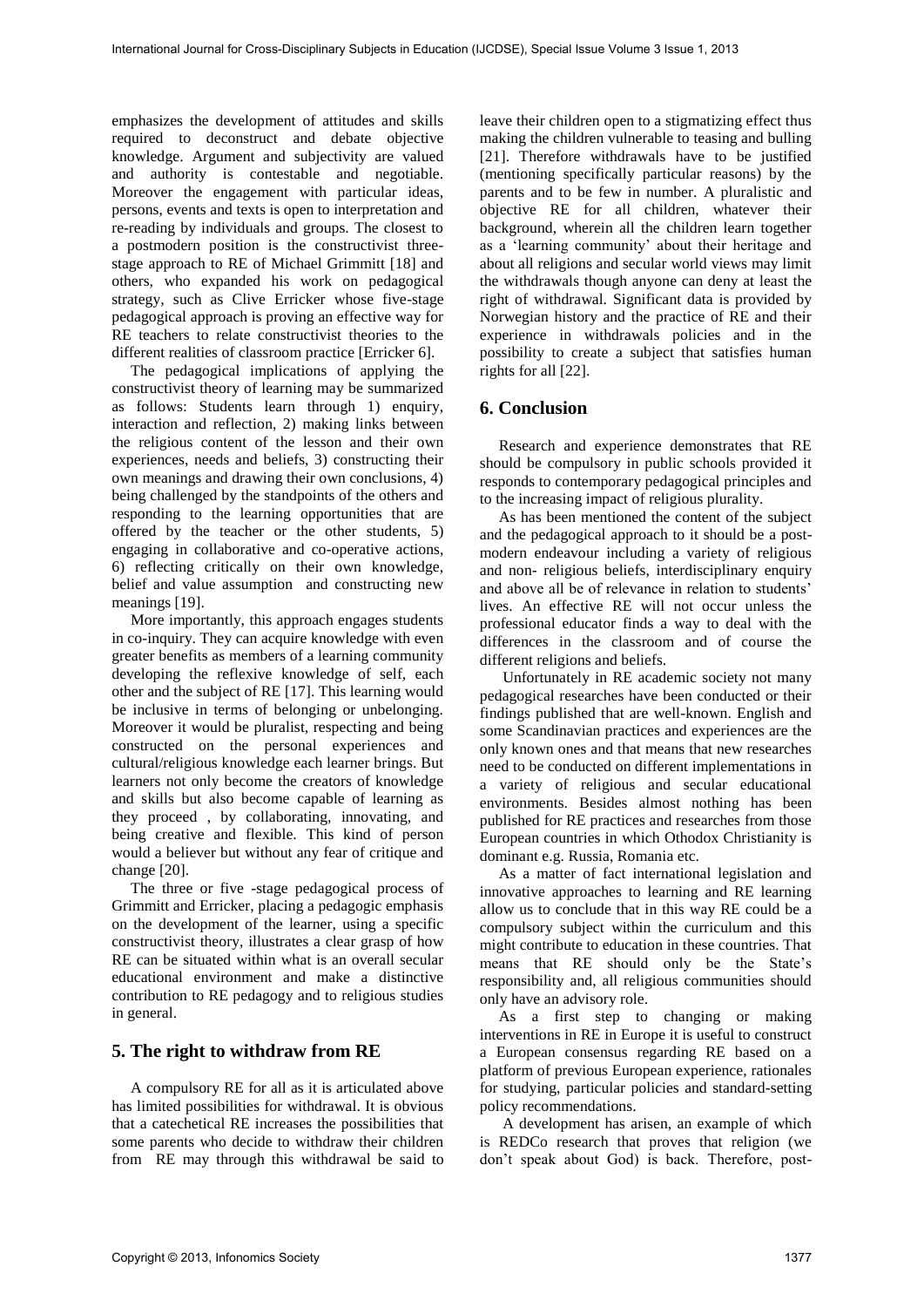emphasizes the development of attitudes and skills required to deconstruct and debate objective knowledge. Argument and subjectivity are valued and authority is contestable and negotiable. Moreover the engagement with particular ideas, persons, events and texts is open to interpretation and re-reading by individuals and groups. The closest to a postmodern position is the constructivist threestage approach to RE of Michael Grimmitt [18] and others, who expanded his work on pedagogical strategy, such as Clive Erricker whose five-stage pedagogical approach is proving an effective way for RE teachers to relate constructivist theories to the different realities of classroom practice [Erricker 6].

The pedagogical implications of applying the constructivist theory of learning may be summarized as follows: Students learn through 1) enquiry, interaction and reflection, 2) making links between the religious content of the lesson and their own experiences, needs and beliefs, 3) constructing their own meanings and drawing their own conclusions, 4) being challenged by the standpoints of the others and responding to the learning opportunities that are offered by the teacher or the other students, 5) engaging in collaborative and co-operative actions, 6) reflecting critically on their own knowledge, belief and value assumption and constructing new meanings [19].

More importantly, this approach engages students in co-inquiry. They can acquire knowledge with even greater benefits as members of a learning community developing the reflexive knowledge of self, each other and the subject of RE [17]. This learning would be inclusive in terms of belonging or unbelonging. Moreover it would be pluralist, respecting and being constructed on the personal experiences and cultural/religious knowledge each learner brings. But learners not only become the creators of knowledge and skills but also become capable of learning as they proceed , by collaborating, innovating, and being creative and flexible. This kind of person would a believer but without any fear of critique and change [20].

The three or five -stage pedagogical process of Grimmitt and Erricker, placing a pedagogic emphasis on the development of the learner, using a specific constructivist theory, illustrates a clear grasp of how RE can be situated within what is an overall secular educational environment and make a distinctive contribution to RE pedagogy and to religious studies in general.

# **5. The right to withdraw from RE**

A compulsory RE for all as it is articulated above has limited possibilities for withdrawal. It is obvious that a catechetical RE increases the possibilities that some parents who decide to withdraw their children from RE may through this withdrawal be said to

leave their children open to a stigmatizing effect thus making the children vulnerable to teasing and bulling [21]. Therefore withdrawals have to be justified (mentioning specifically particular reasons) by the parents and to be few in number. A pluralistic and objective RE for all children, whatever their background, wherein all the children learn together as a 'learning community' about their heritage and about all religions and secular world views may limit the withdrawals though anyone can deny at least the right of withdrawal. Significant data is provided by Norwegian history and the practice of RE and their experience in withdrawals policies and in the possibility to create a subject that satisfies human rights for all [22].

#### **6. Conclusion**

Research and experience demonstrates that RE should be compulsory in public schools provided it responds to contemporary pedagogical principles and to the increasing impact of religious plurality.

As has been mentioned the content of the subject and the pedagogical approach to it should be a postmodern endeavour including a variety of religious and non- religious beliefs, interdisciplinary enquiry and above all be of relevance in relation to students' lives. An effective RE will not occur unless the professional educator finds a way to deal with the differences in the classroom and of course the different religions and beliefs.

 Unfortunately in RE academic society not many pedagogical researches have been conducted or their findings published that are well-known. English and some Scandinavian practices and experiences are the only known ones and that means that new researches need to be conducted on different implementations in a variety of religious and secular educational environments. Besides almost nothing has been published for RE practices and researches from those European countries in which Othodox Christianity is dominant e.g. Russia, Romania etc.

As a matter of fact international legislation and innovative approaches to learning and RE learning allow us to conclude that in this way RE could be a compulsory subject within the curriculum and this might contribute to education in these countries. That means that RE should only be the State's responsibility and, all religious communities should only have an advisory role.

As a first step to changing or making interventions in RE in Europe it is useful to construct a European consensus regarding RE based on a platform of previous European experience, rationales for studying, particular policies and standard-setting policy recommendations.

 A development has arisen, an example of which is REDCo research that proves that religion (we don't speak about God) is back. Therefore, post